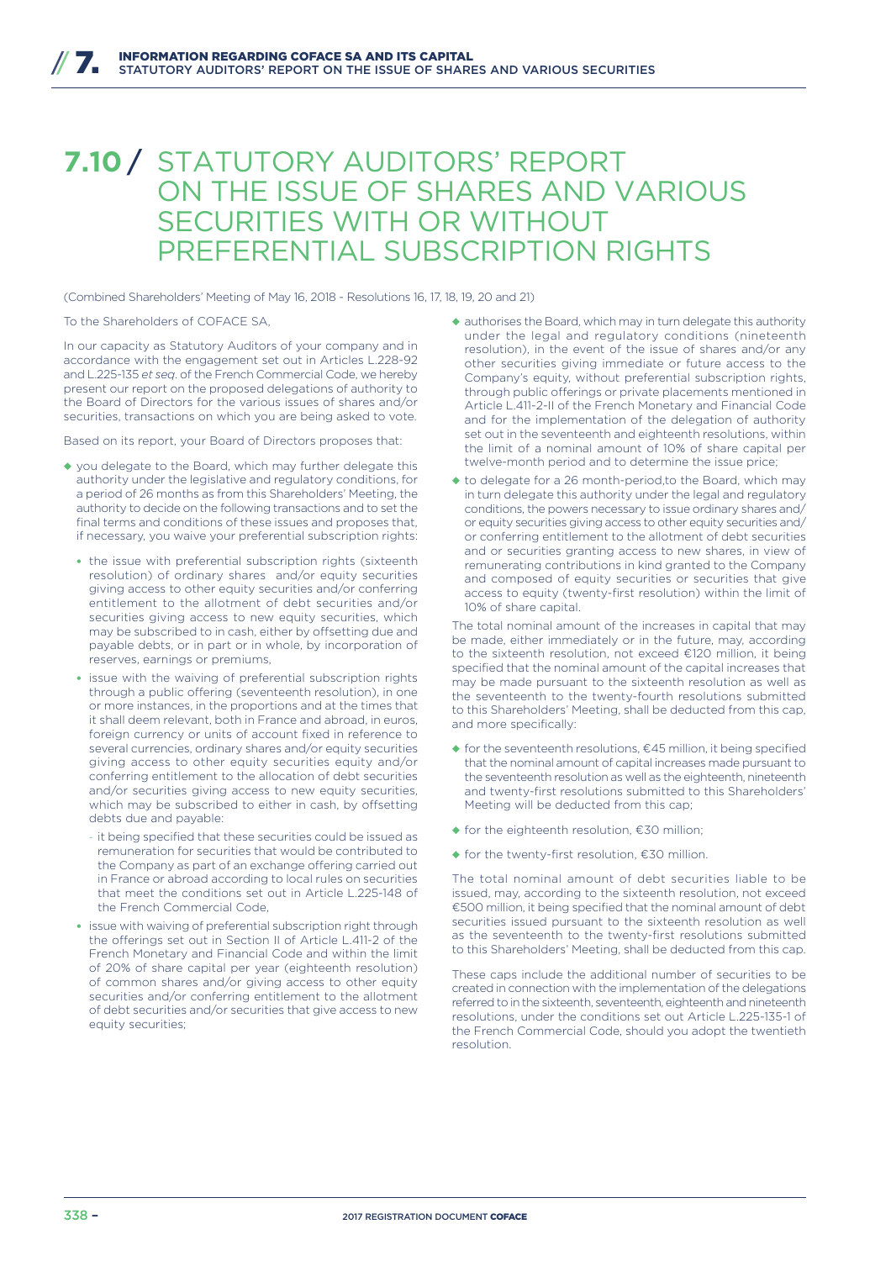## **7.10** / STATUTORY AUDITORS' REPORT ON THE ISSUE OF SHARES AND VARIOUS SECURITIES WITH OR WITHOUT PREFERENTIAL SUBSCRIPTION RIGHTS

(Combined Shareholders' Meeting of May 16, 2018 - Resolutions 16, 17, 18, 19, 20 and 21)

To the Shareholders of COFACE SA,

In our capacity as Statutory Auditors of your company and in accordance with the engagement set out in Articles L.228-92 and L.225-135 *et seq*. of the French Commercial Code, we hereby present our report on the proposed delegations of authority to the Board of Directors for the various issues of shares and/or securities, transactions on which you are being asked to vote.

Based on its report, your Board of Directors proposes that:

- ◆ you delegate to the Board, which may further delegate this authority under the legislative and regulatory conditions, for a period of 26 months as from this Shareholders' Meeting, the authority to decide on the following transactions and to set the final terms and conditions of these issues and proposes that, if necessary, you waive your preferential subscription rights:
	- the issue with preferential subscription rights (sixteenth resolution) of ordinary shares and/or equity securities giving access to other equity securities and/or conferring entitlement to the allotment of debt securities and/or securities giving access to new equity securities, which may be subscribed to in cash, either by offsetting due and payable debts, or in part or in whole, by incorporation of reserves, earnings or premiums,
	- issue with the waiving of preferential subscription rights through a public offering (seventeenth resolution), in one or more instances, in the proportions and at the times that it shall deem relevant, both in France and abroad, in euros, foreign currency or units of account fixed in reference to several currencies, ordinary shares and/or equity securities giving access to other equity securities equity and/or conferring entitlement to the allocation of debt securities and/or securities giving access to new equity securities, which may be subscribed to either in cash, by offsetting debts due and payable:
	- it being specified that these securities could be issued as remuneration for securities that would be contributed to the Company as part of an exchange offering carried out in France or abroad according to local rules on securities that meet the conditions set out in Article L.225-148 of the French Commercial Code,
	- issue with waiving of preferential subscription right through the offerings set out in Section II of Article L.411-2 of the French Monetary and Financial Code and within the limit of 20% of share capital per year (eighteenth resolution) of common shares and/or giving access to other equity securities and/or conferring entitlement to the allotment of debt securities and/or securities that give access to new equity securities;
- ◆ authorises the Board, which may in turn delegate this authority under the legal and regulatory conditions (nineteenth resolution), in the event of the issue of shares and/or any other securities giving immediate or future access to the Company's equity, without preferential subscription rights, through public offerings or private placements mentioned in Article L.411-2-II of the French Monetary and Financial Code and for the implementation of the delegation of authority set out in the seventeenth and eighteenth resolutions, within the limit of a nominal amount of 10% of share capital per twelve-month period and to determine the issue price;
- ◆ to delegate for a 26 month-period,to the Board, which may in turn delegate this authority under the legal and regulatory conditions, the powers necessary to issue ordinary shares and/ or equity securities giving access to other equity securities and/ or conferring entitlement to the allotment of debt securities and or securities granting access to new shares, in view of remunerating contributions in kind granted to the Company and composed of equity securities or securities that give access to equity (twenty-first resolution) within the limit of 10% of share capital.

The total nominal amount of the increases in capital that may be made, either immediately or in the future, may, according to the sixteenth resolution, not exceed €120 million, it being specified that the nominal amount of the capital increases that may be made pursuant to the sixteenth resolution as well as the seventeenth to the twenty-fourth resolutions submitted to this Shareholders' Meeting, shall be deducted from this cap, and more specifically:

- ◆ for the seventeenth resolutions,  $€45$  million, it being specified that the nominal amount of capital increases made pursuant to the seventeenth resolution as well as the eighteenth, nineteenth and twenty-first resolutions submitted to this Shareholders' Meeting will be deducted from this cap;
- ◆ for the eighteenth resolution, €30 million;
- ◆ for the twenty-first resolution, €30 million.

The total nominal amount of debt securities liable to be issued, may, according to the sixteenth resolution, not exceed €500 million, it being specified that the nominal amount of debt securities issued pursuant to the sixteenth resolution as well as the seventeenth to the twenty-first resolutions submitted to this Shareholders' Meeting, shall be deducted from this cap.

These caps include the additional number of securities to be created in connection with the implementation of the delegations referred to in the sixteenth, seventeenth, eighteenth and nineteenth resolutions, under the conditions set out Article L.225-135-1 of the French Commercial Code, should you adopt the twentieth resolution.